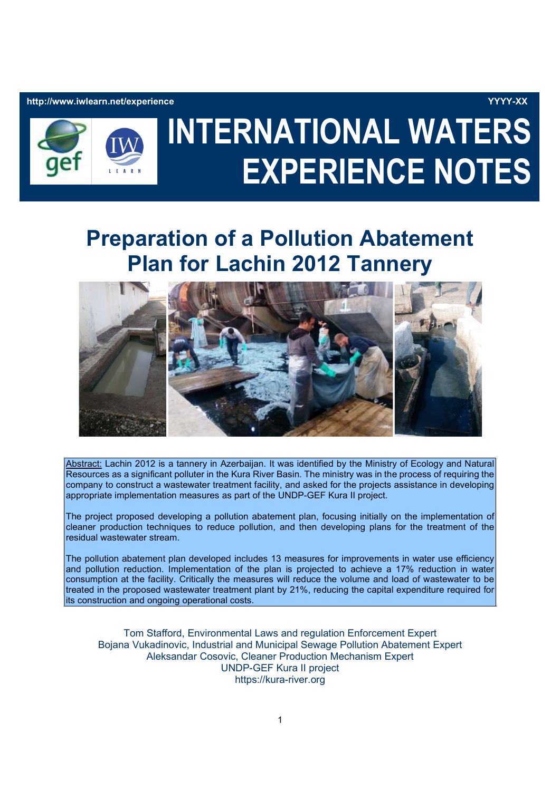http://www.iwlearn.net/experience YYYY-XX



# INTERNATIONAL WATERS EXPERIENCE NOTES

# Preparation of a Pollution Abatement Plan for Lachin 2012 Tannery



Abstract: Lachin 2012 is a tannery in Azerbaijan. It was identified by the Ministry of Ecology and Natural Resources as a significant polluter in the Kura River Basin. The ministry was in the process of requiring the company to construct a wastewater treatment facility, and asked for the projects assistance in developing appropriate implementation measures as part of the UNDP-GEF Kura II project.

The project proposed developing a pollution abatement plan, focusing initially on the implementation of cleaner production techniques to reduce pollution, and then developing plans for the treatment of the residual wastewater stream.

The pollution abatement plan developed includes 13 measures for improvements in water use efficiency and pollution reduction. Implementation of the plan is projected to achieve a 17% reduction in water consumption at the facility. Critically the measures will reduce the volume and load of wastewater to be treated in the proposed wastewater treatment plant by 21%, reducing the capital expenditure required for its construction and ongoing operational costs.

Tom Stafford, Environmental Laws and regulation Enforcement Expert Bojana Vukadinovic, Industrial and Municipal Sewage Pollution Abatement Expert Aleksandar Cosovic, Cleaner Production Mechanism Expert UNDP-GEF Kura II project https://kura-river.org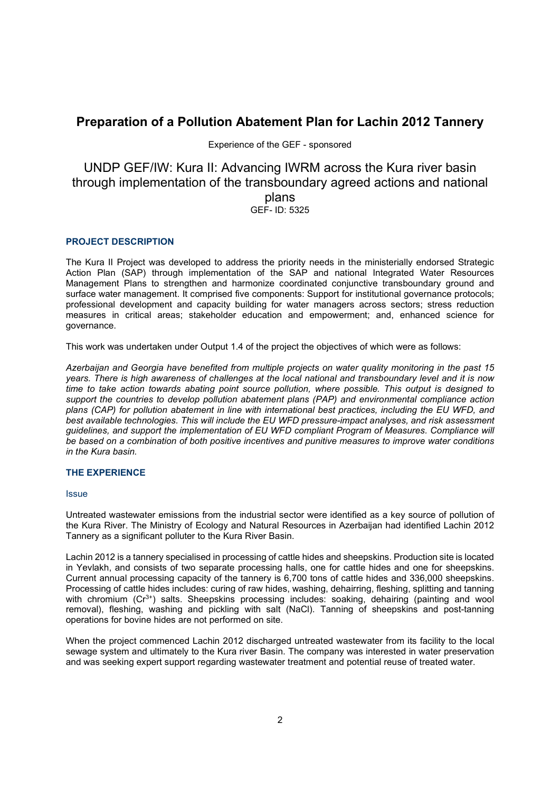## Preparation of a Pollution Abatement Plan for Lachin 2012 Tannery

Experience of the GEF - sponsored

### UNDP GEF/IW: Kura II: Advancing IWRM across the Kura river basin through implementation of the transboundary agreed actions and national plans GEF- ID: 5325

#### PROJECT DESCRIPTION

The Kura II Project was developed to address the priority needs in the ministerially endorsed Strategic Action Plan (SAP) through implementation of the SAP and national Integrated Water Resources Management Plans to strengthen and harmonize coordinated conjunctive transboundary ground and surface water management. It comprised five components: Support for institutional governance protocols; professional development and capacity building for water managers across sectors; stress reduction measures in critical areas; stakeholder education and empowerment; and, enhanced science for governance.

This work was undertaken under Output 1.4 of the project the objectives of which were as follows:

Azerbaijan and Georgia have benefited from multiple projects on water quality monitoring in the past 15 years. There is high awareness of challenges at the local national and transboundary level and it is now time to take action towards abating point source pollution, where possible. This output is designed to support the countries to develop pollution abatement plans (PAP) and environmental compliance action plans (CAP) for pollution abatement in line with international best practices, including the EU WFD, and best available technologies. This will include the EU WFD pressure-impact analyses, and risk assessment guidelines, and support the implementation of EU WFD compliant Program of Measures. Compliance will be based on a combination of both positive incentives and punitive measures to improve water conditions in the Kura basin.

#### THE EXPERIENCE

#### **Issue**

Untreated wastewater emissions from the industrial sector were identified as a key source of pollution of the Kura River. The Ministry of Ecology and Natural Resources in Azerbaijan had identified Lachin 2012 Tannery as a significant polluter to the Kura River Basin.

Lachin 2012 is a tannery specialised in processing of cattle hides and sheepskins. Production site is located in Yevlakh, and consists of two separate processing halls, one for cattle hides and one for sheepskins. Current annual processing capacity of the tannery is 6,700 tons of cattle hides and 336,000 sheepskins. Processing of cattle hides includes: curing of raw hides, washing, dehairring, fleshing, splitting and tanning with chromium (Cr<sup>3+</sup>) salts. Sheepskins processing includes: soaking, dehairing (painting and wool removal), fleshing, washing and pickling with salt (NaCl). Tanning of sheepskins and post-tanning operations for bovine hides are not performed on site.

When the project commenced Lachin 2012 discharged untreated wastewater from its facility to the local sewage system and ultimately to the Kura river Basin. The company was interested in water preservation and was seeking expert support regarding wastewater treatment and potential reuse of treated water.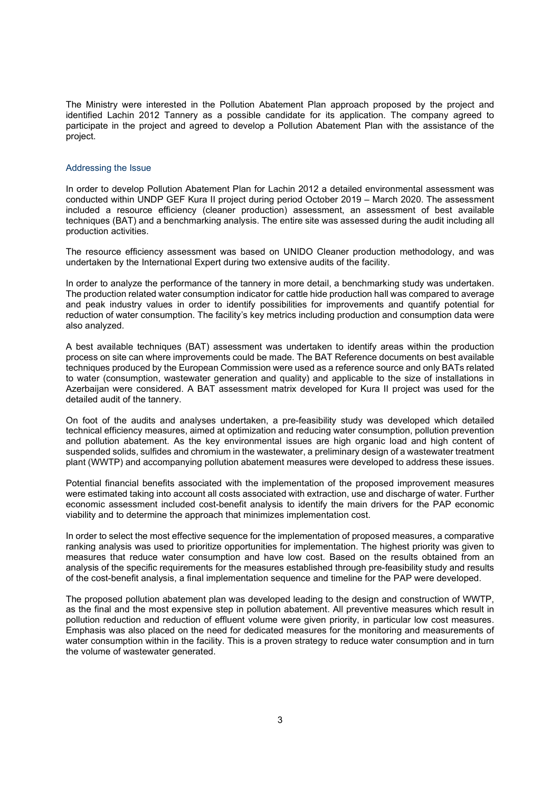The Ministry were interested in the Pollution Abatement Plan approach proposed by the project and identified Lachin 2012 Tannery as a possible candidate for its application. The company agreed to participate in the project and agreed to develop a Pollution Abatement Plan with the assistance of the project.

#### Addressing the Issue

In order to develop Pollution Abatement Plan for Lachin 2012 a detailed environmental assessment was conducted within UNDP GEF Kura II project during period October 2019 – March 2020. The assessment included a resource efficiency (cleaner production) assessment, an assessment of best available techniques (BAT) and a benchmarking analysis. The entire site was assessed during the audit including all production activities.

The resource efficiency assessment was based on UNIDO Cleaner production methodology, and was undertaken by the International Expert during two extensive audits of the facility.

In order to analyze the performance of the tannery in more detail, a benchmarking study was undertaken. The production related water consumption indicator for cattle hide production hall was compared to average and peak industry values in order to identify possibilities for improvements and quantify potential for reduction of water consumption. The facility's key metrics including production and consumption data were also analyzed.

A best available techniques (BAT) assessment was undertaken to identify areas within the production process on site can where improvements could be made. The BAT Reference documents on best available techniques produced by the European Commission were used as a reference source and only BATs related to water (consumption, wastewater generation and quality) and applicable to the size of installations in Azerbaijan were considered. A BAT assessment matrix developed for Kura II project was used for the detailed audit of the tannery.

On foot of the audits and analyses undertaken, a pre-feasibility study was developed which detailed technical efficiency measures, aimed at optimization and reducing water consumption, pollution prevention and pollution abatement. As the key environmental issues are high organic load and high content of suspended solids, sulfides and chromium in the wastewater, a preliminary design of a wastewater treatment plant (WWTP) and accompanying pollution abatement measures were developed to address these issues.

Potential financial benefits associated with the implementation of the proposed improvement measures were estimated taking into account all costs associated with extraction, use and discharge of water. Further economic assessment included cost-benefit analysis to identify the main drivers for the PAP economic viability and to determine the approach that minimizes implementation cost.

In order to select the most effective sequence for the implementation of proposed measures, a comparative ranking analysis was used to prioritize opportunities for implementation. The highest priority was given to measures that reduce water consumption and have low cost. Based on the results obtained from an analysis of the specific requirements for the measures established through pre-feasibility study and results of the cost-benefit analysis, a final implementation sequence and timeline for the PAP were developed.

The proposed pollution abatement plan was developed leading to the design and construction of WWTP, as the final and the most expensive step in pollution abatement. All preventive measures which result in pollution reduction and reduction of effluent volume were given priority, in particular low cost measures. Emphasis was also placed on the need for dedicated measures for the monitoring and measurements of water consumption within in the facility. This is a proven strategy to reduce water consumption and in turn the volume of wastewater generated.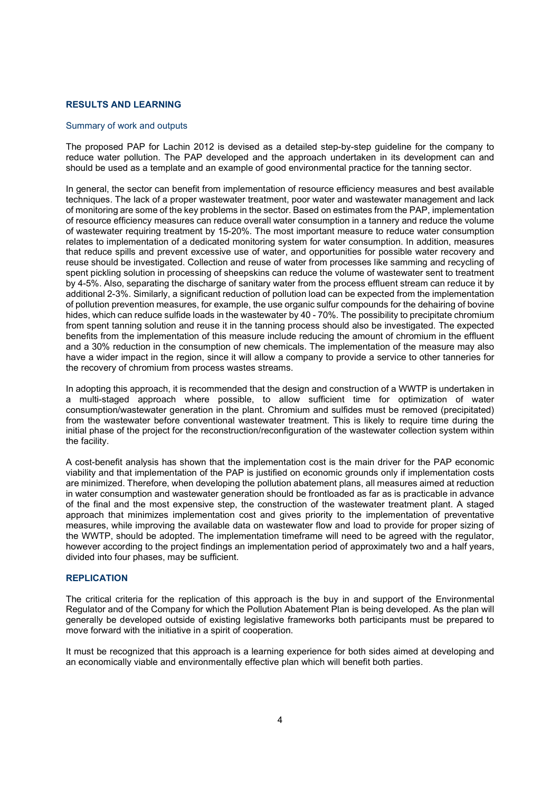#### RESULTS AND LEARNING

#### Summary of work and outputs

The proposed PAP for Lachin 2012 is devised as a detailed step-by-step guideline for the company to reduce water pollution. The PAP developed and the approach undertaken in its development can and should be used as a template and an example of good environmental practice for the tanning sector.

In general, the sector can benefit from implementation of resource efficiency measures and best available techniques. The lack of a proper wastewater treatment, poor water and wastewater management and lack of monitoring are some of the key problems in the sector. Based on estimates from the PAP, implementation of resource efficiency measures can reduce overall water consumption in a tannery and reduce the volume of wastewater requiring treatment by 15-20%. The most important measure to reduce water consumption relates to implementation of a dedicated monitoring system for water consumption. In addition, measures that reduce spills and prevent excessive use of water, and opportunities for possible water recovery and reuse should be investigated. Collection and reuse of water from processes like samming and recycling of spent pickling solution in processing of sheepskins can reduce the volume of wastewater sent to treatment by 4-5%. Also, separating the discharge of sanitary water from the process effluent stream can reduce it by additional 2-3%. Similarly, a significant reduction of pollution load can be expected from the implementation of pollution prevention measures, for example, the use organic sulfur compounds for the dehairing of bovine hides, which can reduce sulfide loads in the wastewater by 40 - 70%. The possibility to precipitate chromium from spent tanning solution and reuse it in the tanning process should also be investigated. The expected benefits from the implementation of this measure include reducing the amount of chromium in the effluent and a 30% reduction in the consumption of new chemicals. The implementation of the measure may also have a wider impact in the region, since it will allow a company to provide a service to other tanneries for the recovery of chromium from process wastes streams.

In adopting this approach, it is recommended that the design and construction of a WWTP is undertaken in a multi-staged approach where possible, to allow sufficient time for optimization of water consumption/wastewater generation in the plant. Chromium and sulfides must be removed (precipitated) from the wastewater before conventional wastewater treatment. This is likely to require time during the initial phase of the project for the reconstruction/reconfiguration of the wastewater collection system within the facility.

A cost-benefit analysis has shown that the implementation cost is the main driver for the PAP economic viability and that implementation of the PAP is justified on economic grounds only if implementation costs are minimized. Therefore, when developing the pollution abatement plans, all measures aimed at reduction in water consumption and wastewater generation should be frontloaded as far as is practicable in advance of the final and the most expensive step, the construction of the wastewater treatment plant. A staged approach that minimizes implementation cost and gives priority to the implementation of preventative measures, while improving the available data on wastewater flow and load to provide for proper sizing of the WWTP, should be adopted. The implementation timeframe will need to be agreed with the regulator, however according to the project findings an implementation period of approximately two and a half years, divided into four phases, may be sufficient.

#### **REPLICATION**

The critical criteria for the replication of this approach is the buy in and support of the Environmental Regulator and of the Company for which the Pollution Abatement Plan is being developed. As the plan will generally be developed outside of existing legislative frameworks both participants must be prepared to move forward with the initiative in a spirit of cooperation.

It must be recognized that this approach is a learning experience for both sides aimed at developing and an economically viable and environmentally effective plan which will benefit both parties.